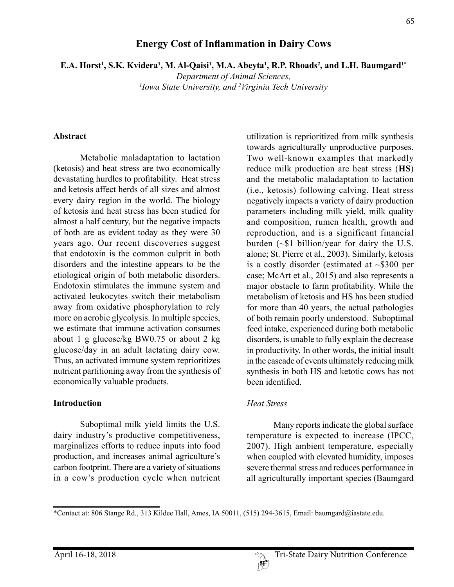# *Department of Animal Sciences,*

*1 Iowa State University, and 2 Virginia Tech University*

**Energy Cost of Inflammation in Dairy Cows**

**E.A. Horst<sup>1</sup>, S.K. Kvidera<sup>1</sup>, M. Al-Qaisi<sup>1</sup>, M.A. Abeyta<sup>1</sup>, R.P. Rhoads<sup>2</sup>, and L.H. Baumgard<sup>1\*</sup>** 

## **Abstract**

Metabolic maladaptation to lactation (ketosis) and heat stress are two economically devastating hurdles to profitability. Heat stress and ketosis affect herds of all sizes and almost every dairy region in the world. The biology of ketosis and heat stress has been studied for almost a half century, but the negative impacts of both are as evident today as they were 30 years ago. Our recent discoveries suggest that endotoxin is the common culprit in both disorders and the intestine appears to be the etiological origin of both metabolic disorders. Endotoxin stimulates the immune system and activated leukocytes switch their metabolism away from oxidative phosphorylation to rely more on aerobic glycolysis. In multiple species, we estimate that immune activation consumes about 1 g glucose/kg BW0.75 or about 2 kg glucose/day in an adult lactating dairy cow. Thus, an activated immune system reprioritizes nutrient partitioning away from the synthesis of economically valuable products.

### **Introduction**

Suboptimal milk yield limits the U.S. dairy industry's productive competitiveness, marginalizes efforts to reduce inputs into food production, and increases animal agriculture's carbon footprint. There are a variety of situations in a cow's production cycle when nutrient utilization is reprioritized from milk synthesis towards agriculturally unproductive purposes. Two well-known examples that markedly reduce milk production are heat stress (**HS**) and the metabolic maladaptation to lactation (i.e., ketosis) following calving. Heat stress negatively impacts a variety of dairy production parameters including milk yield, milk quality and composition, rumen health, growth and reproduction, and is a significant financial burden (~\$1 billion/year for dairy the U.S. alone; St. Pierre et al., 2003). Similarly, ketosis is a costly disorder (estimated at  $\sim$ \$300 per case; McArt et al., 2015) and also represents a major obstacle to farm profitability. While the metabolism of ketosis and HS has been studied for more than 40 years, the actual pathologies of both remain poorly understood. Suboptimal feed intake, experienced during both metabolic disorders, is unable to fully explain the decrease in productivity. In other words, the initial insult in the cascade of events ultimately reducing milk synthesis in both HS and ketotic cows has not been identified.

### *Heat Stress*

Many reports indicate the global surface temperature is expected to increase (IPCC, 2007). High ambient temperature, especially when coupled with elevated humidity, imposes severe thermal stress and reduces performance in all agriculturally important species (Baumgard

 $\mathbb{R}^p$ 

<sup>\*</sup>Contact at: 806 Stange Rd., 313 Kildee Hall, Ames, IA 50011, (515) 294-3615, Email: baumgard@iastate.edu.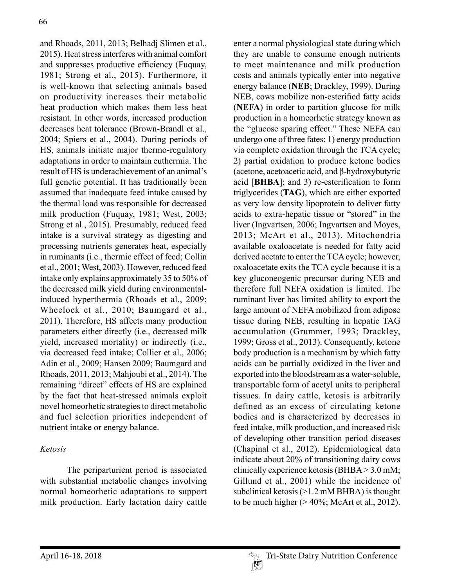and Rhoads, 2011, 2013; Belhadj Slimen et al., 2015). Heat stress interferes with animal comfort and suppresses productive efficiency (Fuquay, 1981; Strong et al., 2015). Furthermore, it is well-known that selecting animals based on productivity increases their metabolic heat production which makes them less heat resistant. In other words, increased production decreases heat tolerance (Brown-Brandl et al., 2004; Spiers et al., 2004). During periods of HS, animals initiate major thermo-regulatory adaptations in order to maintain euthermia. The result of HS is underachievement of an animal's full genetic potential. It has traditionally been assumed that inadequate feed intake caused by the thermal load was responsible for decreased milk production (Fuquay, 1981; West, 2003; Strong et al., 2015). Presumably, reduced feed intake is a survival strategy as digesting and processing nutrients generates heat, especially in ruminants (i.e., thermic effect of feed; Collin et al., 2001; West, 2003). However, reduced feed intake only explains approximately 35 to 50% of the decreased milk yield during environmentalinduced hyperthermia (Rhoads et al., 2009; Wheelock et al., 2010; Baumgard et al., 2011). Therefore, HS affects many production parameters either directly (i.e., decreased milk yield, increased mortality) or indirectly (i.e., via decreased feed intake; Collier et al., 2006; Adin et al., 2009; Hansen 2009; Baumgard and Rhoads, 2011, 2013; Mahjoubi et al., 2014). The remaining "direct" effects of HS are explained by the fact that heat-stressed animals exploit novel homeorhetic strategies to direct metabolic and fuel selection priorities independent of nutrient intake or energy balance.

# *Ketosis*

The periparturient period is associated with substantial metabolic changes involving normal homeorhetic adaptations to support milk production. Early lactation dairy cattle

enter a normal physiological state during which they are unable to consume enough nutrients to meet maintenance and milk production costs and animals typically enter into negative energy balance (**NEB**; Drackley, 1999). During NEB, cows mobilize non-esterified fatty acids (**NEFA**) in order to partition glucose for milk production in a homeorhetic strategy known as the "glucose sparing effect." These NEFA can undergo one of three fates: 1) energy production via complete oxidation through the TCA cycle; 2) partial oxidation to produce ketone bodies (acetone, acetoacetic acid, and β-hydroxybutyric acid [**BHBA**]; and 3) re-esterification to form triglycerides (**TAG**), which are either exported as very low density lipoprotein to deliver fatty acids to extra-hepatic tissue or "stored" in the liver (Ingvartsen, 2006; Ingvartsen and Moyes, 2013; McArt et al., 2013). Mitochondria available oxaloacetate is needed for fatty acid derived acetate to enter the TCA cycle; however, oxaloacetate exits the TCA cycle because it is a key gluconeogenic precursor during NEB and therefore full NEFA oxidation is limited. The ruminant liver has limited ability to export the large amount of NEFA mobilized from adipose tissue during NEB, resulting in hepatic TAG accumulation (Grummer, 1993; Drackley, 1999; Gross et al., 2013). Consequently, ketone body production is a mechanism by which fatty acids can be partially oxidized in the liver and exported into the bloodstream as a water-soluble, transportable form of acetyl units to peripheral tissues. In dairy cattle, ketosis is arbitrarily defined as an excess of circulating ketone bodies and is characterized by decreases in feed intake, milk production, and increased risk of developing other transition period diseases (Chapinal et al., 2012). Epidemiological data indicate about 20% of transitioning dairy cows clinically experience ketosis (BHBA > 3.0 mM; Gillund et al., 2001) while the incidence of subclinical ketosis (>1.2 mM BHBA) is thought to be much higher  $(>40\%;$  McArt et al., 2012).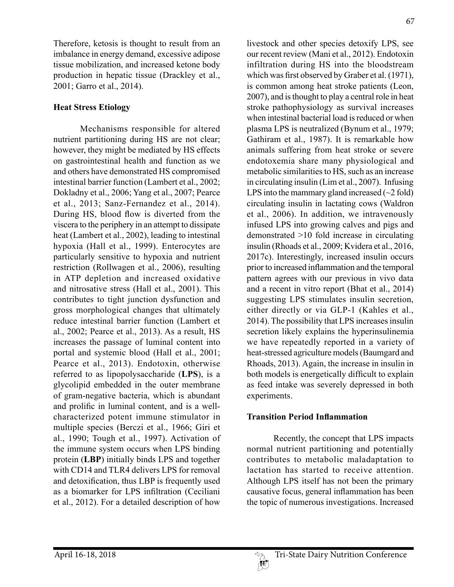Therefore, ketosis is thought to result from an imbalance in energy demand, excessive adipose tissue mobilization, and increased ketone body production in hepatic tissue (Drackley et al., 2001; Garro et al., 2014).

# **Heat Stress Etiology**

Mechanisms responsible for altered nutrient partitioning during HS are not clear; however, they might be mediated by HS effects on gastrointestinal health and function as we and others have demonstrated HS compromised intestinal barrier function (Lambert et al., 2002; Dokladny et al., 2006; Yang et al., 2007; Pearce et al., 2013; Sanz-Fernandez et al., 2014). During HS, blood flow is diverted from the viscera to the periphery in an attempt to dissipate heat (Lambert et al., 2002), leading to intestinal hypoxia (Hall et al., 1999). Enterocytes are particularly sensitive to hypoxia and nutrient restriction (Rollwagen et al., 2006), resulting in ATP depletion and increased oxidative and nitrosative stress (Hall et al., 2001). This contributes to tight junction dysfunction and gross morphological changes that ultimately reduce intestinal barrier function (Lambert et al., 2002; Pearce et al., 2013). As a result, HS increases the passage of luminal content into portal and systemic blood (Hall et al., 2001; Pearce et al., 2013). Endotoxin, otherwise referred to as lipopolysaccharide (**LPS**), is a glycolipid embedded in the outer membrane of gram-negative bacteria, which is abundant and prolific in luminal content, and is a wellcharacterized potent immune stimulator in multiple species (Berczi et al., 1966; Giri et al., 1990; Tough et al., 1997). Activation of the immune system occurs when LPS binding protein (**LBP**) initially binds LPS and together with CD14 and TLR4 delivers LPS for removal and detoxification, thus LBP is frequently used as a biomarker for LPS infiltration (Ceciliani et al., 2012). For a detailed description of how

livestock and other species detoxify LPS, see our recent review (Mani et al., 2012). Endotoxin infiltration during HS into the bloodstream which was first observed by Graber et al. (1971), is common among heat stroke patients (Leon, 2007), and is thought to play a central role in heat stroke pathophysiology as survival increases when intestinal bacterial load is reduced or when plasma LPS is neutralized (Bynum et al., 1979; Gathiram et al., 1987). It is remarkable how animals suffering from heat stroke or severe endotoxemia share many physiological and metabolic similarities to HS, such as an increase in circulating insulin (Lim et al., 2007). Infusing LPS into the mammary gland increased  $(\sim 2$  fold) circulating insulin in lactating cows (Waldron et al., 2006). In addition, we intravenously infused LPS into growing calves and pigs and demonstrated >10 fold increase in circulating insulin (Rhoads et al., 2009; Kvidera et al., 2016, 2017c). Interestingly, increased insulin occurs prior to increased inflammation and the temporal pattern agrees with our previous in vivo data and a recent in vitro report (Bhat et al., 2014) suggesting LPS stimulates insulin secretion, either directly or via GLP-1 (Kahles et al., 2014). The possibility that LPS increases insulin secretion likely explains the hyperinsulinemia we have repeatedly reported in a variety of heat-stressed agriculture models (Baumgard and Rhoads, 2013). Again, the increase in insulin in both models is energetically difficult to explain as feed intake was severely depressed in both experiments.

## **Transition Period Inflammation**

Recently, the concept that LPS impacts normal nutrient partitioning and potentially contributes to metabolic maladaptation to lactation has started to receive attention. Although LPS itself has not been the primary causative focus, general inflammation has been the topic of numerous investigations. Increased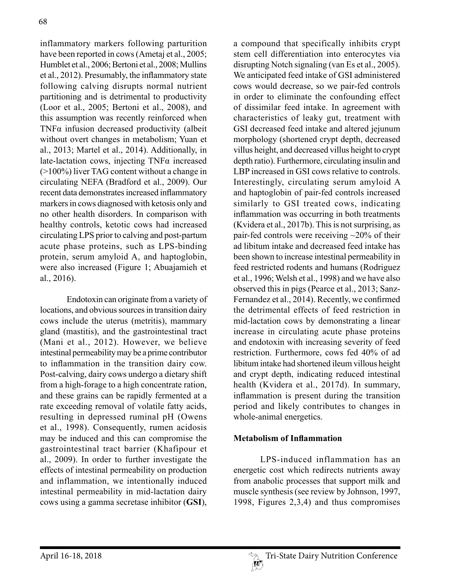inflammatory markers following parturition have been reported in cows (Ametaj et al., 2005; Humblet et al., 2006; Bertoni et al., 2008; Mullins et al., 2012). Presumably, the inflammatory state following calving disrupts normal nutrient partitioning and is detrimental to productivity (Loor et al., 2005; Bertoni et al., 2008), and this assumption was recently reinforced when TNF $\alpha$  infusion decreased productivity (albeit without overt changes in metabolism; Yuan et al., 2013; Martel et al., 2014). Additionally, in late-lactation cows, injecting TNFα increased (>100%) liver TAG content without a change in circulating NEFA (Bradford et al., 2009). Our recent data demonstrates increased inflammatory markers in cows diagnosed with ketosis only and no other health disorders. In comparison with healthy controls, ketotic cows had increased circulating LPS prior to calving and post-partum acute phase proteins, such as LPS-binding protein, serum amyloid A, and haptoglobin, were also increased (Figure 1; Abuajamieh et al., 2016).

Endotoxin can originate from a variety of locations, and obvious sources in transition dairy cows include the uterus (metritis), mammary gland (mastitis), and the gastrointestinal tract (Mani et al., 2012). However, we believe intestinal permeability may be a prime contributor to inflammation in the transition dairy cow. Post-calving, dairy cows undergo a dietary shift from a high-forage to a high concentrate ration, and these grains can be rapidly fermented at a rate exceeding removal of volatile fatty acids, resulting in depressed ruminal pH (Owens et al., 1998). Consequently, rumen acidosis may be induced and this can compromise the gastrointestinal tract barrier (Khafipour et al., 2009). In order to further investigate the effects of intestinal permeability on production and inflammation, we intentionally induced intestinal permeability in mid-lactation dairy cows using a gamma secretase inhibitor (**GSI**),

a compound that specifically inhibits crypt stem cell differentiation into enterocytes via disrupting Notch signaling (van Es et al., 2005). We anticipated feed intake of GSI administered cows would decrease, so we pair-fed controls in order to eliminate the confounding effect of dissimilar feed intake. In agreement with characteristics of leaky gut, treatment with GSI decreased feed intake and altered jejunum morphology (shortened crypt depth, decreased villus height, and decreased villus height to crypt depth ratio). Furthermore, circulating insulin and LBP increased in GSI cows relative to controls. Interestingly, circulating serum amyloid A and haptoglobin of pair-fed controls increased similarly to GSI treated cows, indicating inflammation was occurring in both treatments (Kvidera et al., 2017b). This is not surprising, as pair-fed controls were receiving ~20% of their ad libitum intake and decreased feed intake has been shown to increase intestinal permeability in feed restricted rodents and humans (Rodriguez et al., 1996; Welsh et al., 1998) and we have also observed this in pigs (Pearce et al., 2013; Sanz-Fernandez et al., 2014). Recently, we confirmed the detrimental effects of feed restriction in mid-lactation cows by demonstrating a linear increase in circulating acute phase proteins and endotoxin with increasing severity of feed restriction. Furthermore, cows fed 40% of ad libitum intake had shortened ileum villous height and crypt depth, indicating reduced intestinal health (Kvidera et al., 2017d). In summary, inflammation is present during the transition period and likely contributes to changes in whole-animal energetics.

# **Metabolism of Inflammation**

LPS-induced inflammation has an energetic cost which redirects nutrients away from anabolic processes that support milk and muscle synthesis (see review by Johnson, 1997, 1998, Figures 2,3,4) and thus compromises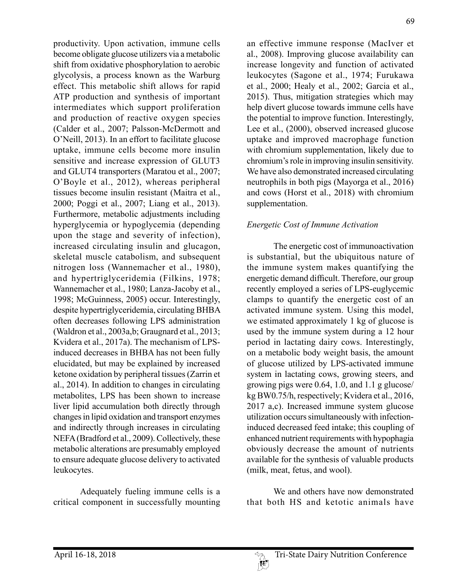productivity. Upon activation, immune cells become obligate glucose utilizers via a metabolic shift from oxidative phosphorylation to aerobic glycolysis, a process known as the Warburg effect. This metabolic shift allows for rapid ATP production and synthesis of important intermediates which support proliferation and production of reactive oxygen species (Calder et al., 2007; Palsson-McDermott and O'Neill, 2013). In an effort to facilitate glucose uptake, immune cells become more insulin sensitive and increase expression of GLUT3 and GLUT4 transporters (Maratou et al., 2007; O'Boyle et al., 2012), whereas peripheral tissues become insulin resistant (Maitra et al., 2000; Poggi et al., 2007; Liang et al., 2013). Furthermore, metabolic adjustments including hyperglycemia or hypoglycemia (depending upon the stage and severity of infection), increased circulating insulin and glucagon, skeletal muscle catabolism, and subsequent nitrogen loss (Wannemacher et al., 1980), and hypertriglyceridemia (Filkins, 1978; Wannemacher et al., 1980; Lanza-Jacoby et al., 1998; McGuinness, 2005) occur. Interestingly, despite hypertriglyceridemia, circulating BHBA often decreases following LPS administration (Waldron et al., 2003a,b; Graugnard et al., 2013; Kvidera et al., 2017a). The mechanism of LPSinduced decreases in BHBA has not been fully elucidated, but may be explained by increased ketone oxidation by peripheral tissues (Zarrin et al., 2014). In addition to changes in circulating metabolites, LPS has been shown to increase liver lipid accumulation both directly through changes in lipid oxidation and transport enzymes and indirectly through increases in circulating NEFA (Bradford et al., 2009). Collectively, these metabolic alterations are presumably employed to ensure adequate glucose delivery to activated leukocytes.

Adequately fueling immune cells is a critical component in successfully mounting an effective immune response (MacIver et al., 2008). Improving glucose availability can increase longevity and function of activated leukocytes (Sagone et al., 1974; Furukawa et al., 2000; Healy et al., 2002; Garcia et al., 2015). Thus, mitigation strategies which may help divert glucose towards immune cells have the potential to improve function. Interestingly, Lee et al., (2000), observed increased glucose uptake and improved macrophage function with chromium supplementation, likely due to chromium's role in improving insulin sensitivity. We have also demonstrated increased circulating neutrophils in both pigs (Mayorga et al., 2016) and cows (Horst et al., 2018) with chromium supplementation.

# *Energetic Cost of Immune Activation*

The energetic cost of immunoactivation is substantial, but the ubiquitous nature of the immune system makes quantifying the energetic demand difficult. Therefore, our group recently employed a series of LPS-euglycemic clamps to quantify the energetic cost of an activated immune system. Using this model, we estimated approximately 1 kg of glucose is used by the immune system during a 12 hour period in lactating dairy cows. Interestingly, on a metabolic body weight basis, the amount of glucose utilized by LPS-activated immune system in lactating cows, growing steers, and growing pigs were 0.64, 1.0, and 1.1 g glucose/ kg BW0.75/h, respectively; Kvidera et al., 2016, 2017 a,c). Increased immune system glucose utilization occurs simultaneously with infectioninduced decreased feed intake; this coupling of enhanced nutrient requirements with hypophagia obviously decrease the amount of nutrients available for the synthesis of valuable products (milk, meat, fetus, and wool).

We and others have now demonstrated that both HS and ketotic animals have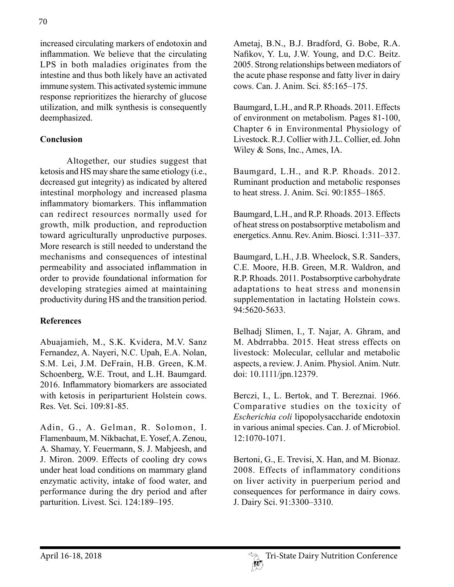increased circulating markers of endotoxin and inflammation. We believe that the circulating LPS in both maladies originates from the intestine and thus both likely have an activated immune system. This activated systemic immune response reprioritizes the hierarchy of glucose utilization, and milk synthesis is consequently deemphasized.

# **Conclusion**

Altogether, our studies suggest that ketosis and HS may share the same etiology (i.e., decreased gut integrity) as indicated by altered intestinal morphology and increased plasma inflammatory biomarkers. This inflammation can redirect resources normally used for growth, milk production, and reproduction toward agriculturally unproductive purposes. More research is still needed to understand the mechanisms and consequences of intestinal permeability and associated inflammation in order to provide foundational information for developing strategies aimed at maintaining productivity during HS and the transition period.

# **References**

Abuajamieh, M., S.K. Kvidera, M.V. Sanz Fernandez, A. Nayeri, N.C. Upah, E.A. Nolan, S.M. Lei, J.M. DeFrain, H.B. Green, K.M. Schoenberg, W.E. Trout, and L.H. Baumgard. 2016. Inflammatory biomarkers are associated with ketosis in periparturient Holstein cows. Res. Vet. Sci. 109:81-85.

Adin, G., A. Gelman, R. Solomon, I. Flamenbaum, M. Nikbachat, E. Yosef, A. Zenou, A. Shamay, Y. Feuermann, S. J. Mabjeesh, and J. Miron. 2009. Effects of cooling dry cows under heat load conditions on mammary gland enzymatic activity, intake of food water, and performance during the dry period and after parturition. Livest. Sci. 124:189–195.

Ametaj, B.N., B.J. Bradford, G. Bobe, R.A. Nafikov, Y. Lu, J.W. Young, and D.C. Beitz. 2005. Strong relationships between mediators of the acute phase response and fatty liver in dairy cows. Can. J. Anim. Sci. 85:165–175.

Baumgard, L.H., and R.P. Rhoads. 2011. Effects of environment on metabolism. Pages 81-100, Chapter 6 in Environmental Physiology of Livestock. R.J. Collier with J.L. Collier, ed. John Wiley & Sons, Inc., Ames, IA.

Baumgard, L.H., and R.P. Rhoads. 2012. Ruminant production and metabolic responses to heat stress. J. Anim. Sci. 90:1855–1865.

Baumgard, L.H., and R.P. Rhoads. 2013. Effects of heat stress on postabsorptive metabolism and energetics. Annu. Rev. Anim. Biosci. 1:311–337.

Baumgard, L.H., J.B. Wheelock, S.R. Sanders, C.E. Moore, H.B. Green, M.R. Waldron, and R.P. Rhoads. 2011. Postabsorptive carbohydrate adaptations to heat stress and monensin supplementation in lactating Holstein cows. 94:5620-5633.

Belhadj Slimen, I., T. Najar, A. Ghram, and M. Abdrrabba. 2015. Heat stress effects on livestock: Molecular, cellular and metabolic aspects, a review. J. Anim. Physiol. Anim. Nutr. doi: 10.1111/jpn.12379.

Berczi, I., L. Bertok, and T. Bereznai. 1966. Comparative studies on the toxicity of *Escherichia coli* lipopolysaccharide endotoxin in various animal species. Can. J. of Microbiol. 12:1070-1071.

Bertoni, G., E. Trevisi, X. Han, and M. Bionaz. 2008. Effects of inflammatory conditions on liver activity in puerperium period and consequences for performance in dairy cows. J. Dairy Sci. 91:3300–3310.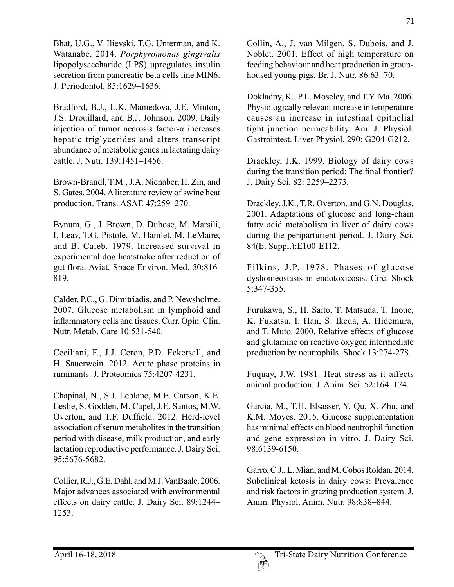Bhat, U.G., V. Ilievski, T.G. Unterman, and K. Watanabe. 2014. *Porphyromonas gingivalis*  lipopolysaccharide (LPS) upregulates insulin secretion from pancreatic beta cells line MIN6. J. Periodontol. 85:1629–1636.

Bradford, B.J., L.K. Mamedova, J.E. Minton, J.S. Drouillard, and B.J. Johnson. 2009. Daily injection of tumor necrosis factor-α increases hepatic triglycerides and alters transcript abundance of metabolic genes in lactating dairy cattle. J. Nutr. 139:1451–1456.

Brown-Brandl, T.M., J.A. Nienaber, H. Zin, and S. Gates. 2004. A literature review of swine heat production. Trans. ASAE 47:259–270.

Bynum, G., J. Brown, D. Dubose, M. Marsili, I. Leav, T.G. Pistole, M. Hamlet, M. LeMaire, and B. Caleb. 1979. Increased survival in experimental dog heatstroke after reduction of gut flora. Aviat. Space Environ. Med. 50:816- 819.

Calder, P.C., G. Dimitriadis, and P. Newsholme. 2007. Glucose metabolism in lymphoid and inflammatory cells and tissues. Curr. Opin. Clin. Nutr. Metab. Care 10:531-540.

Ceciliani, F., J.J. Ceron, P.D. Eckersall, and H. Sauerwein. 2012. Acute phase proteins in ruminants. J. Proteomics 75:4207-4231.

Chapinal, N., S.J. Leblanc, M.E. Carson, K.E. Leslie, S. Godden, M. Capel, J.E. Santos, M.W. Overton, and T.F. Duffield. 2012. Herd-level association of serum metabolites in the transition period with disease, milk production, and early lactation reproductive performance. J. Dairy Sci. 95:5676-5682.

Collier, R.J., G.E. Dahl, and M.J. VanBaale. 2006. Major advances associated with environmental effects on dairy cattle. J. Dairy Sci. 89:1244– 1253.

Collin, A., J. van Milgen, S. Dubois, and J. Noblet. 2001. Effect of high temperature on feeding behaviour and heat production in grouphoused young pigs. Br. J. Nutr. 86:63–70.

Dokladny, K., P.L. Moseley, and T.Y. Ma. 2006. Physiologically relevant increase in temperature causes an increase in intestinal epithelial tight junction permeability. Am. J. Physiol. Gastrointest. Liver Physiol. 290: G204-G212.

Drackley, J.K. 1999. Biology of dairy cows during the transition period: The final frontier? J. Dairy Sci. 82: 2259–2273.

Drackley, J.K., T.R. Overton, and G.N. Douglas. 2001. Adaptations of glucose and long-chain fatty acid metabolism in liver of dairy cows during the periparturient period. J. Dairy Sci. 84(E. Suppl.):E100-E112.

Filkins, J.P. 1978. Phases of glucose dyshomeostasis in endotoxicosis. Circ. Shock 5:347-355.

Furukawa, S., H. Saito, T. Matsuda, T. Inoue, K. Fukatsu, I. Han, S. Ikeda, A. Hidemura, and T. Muto. 2000. Relative effects of glucose and glutamine on reactive oxygen intermediate production by neutrophils. Shock 13:274-278.

Fuquay, J.W. 1981. Heat stress as it affects animal production. J. Anim. Sci. 52:164–174.

Garcia, M., T.H. Elsasser, Y. Qu, X. Zhu, and K.M. Moyes. 2015. Glucose supplementation has minimal effects on blood neutrophil function and gene expression in vitro. J. Dairy Sci. 98:6139-6150.

Garro, C.J., L. Mian, and M. Cobos Roldan. 2014. Subclinical ketosis in dairy cows: Prevalence and risk factors in grazing production system. J. Anim. Physiol. Anim. Nutr. 98:838–844.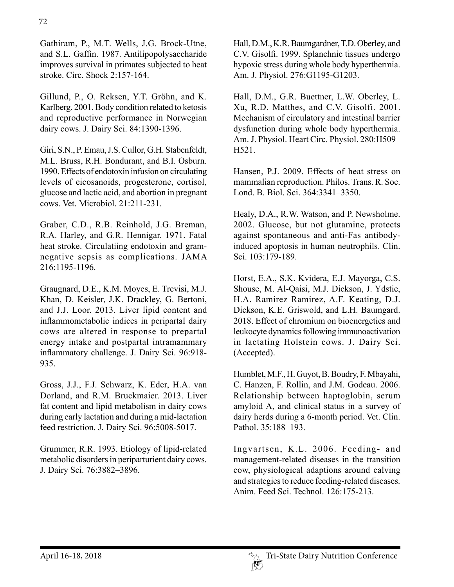Gathiram, P., M.T. Wells, J.G. Brock-Utne, and S.L. Gaffin. 1987. Antilipopolysaccharide improves survival in primates subjected to heat stroke. Circ. Shock 2:157-164.

Gillund, P., O. Reksen, Y.T. Gröhn, and K. Karlberg. 2001. Body condition related to ketosis and reproductive performance in Norwegian dairy cows. J. Dairy Sci. 84:1390-1396.

Giri, S.N., P. Emau, J.S. Cullor, G.H. Stabenfeldt, M.L. Bruss, R.H. Bondurant, and B.I. Osburn. 1990. Effects of endotoxin infusion on circulating levels of eicosanoids, progesterone, cortisol, glucose and lactic acid, and abortion in pregnant cows. Vet. Microbiol. 21:211-231.

Graber, C.D., R.B. Reinhold, J.G. Breman, R.A. Harley, and G.R. Hennigar. 1971. Fatal heat stroke. Circulatiing endotoxin and gramnegative sepsis as complications. JAMA 216:1195-1196.

Graugnard, D.E., K.M. Moyes, E. Trevisi, M.J. Khan, D. Keisler, J.K. Drackley, G. Bertoni, and J.J. Loor. 2013. Liver lipid content and inflammometabolic indices in peripartal dairy cows are altered in response to prepartal energy intake and postpartal intramammary inflammatory challenge. J. Dairy Sci. 96:918- 935.

Gross, J.J., F.J. Schwarz, K. Eder, H.A. van Dorland, and R.M. Bruckmaier. 2013. Liver fat content and lipid metabolism in dairy cows during early lactation and during a mid-lactation feed restriction. J. Dairy Sci. 96:5008-5017.

Grummer, R.R. 1993. Etiology of lipid-related metabolic disorders in periparturient dairy cows. J. Dairy Sci. 76:3882–3896.

Hall, D.M., K.R. Baumgardner, T.D. Oberley, and C.V. Gisolfi. 1999. Splanchnic tissues undergo hypoxic stress during whole body hyperthermia. Am. J. Physiol. 276:G1195-G1203.

Hall, D.M., G.R. Buettner, L.W. Oberley, L. Xu, R.D. Matthes, and C.V. Gisolfi. 2001. Mechanism of circulatory and intestinal barrier dysfunction during whole body hyperthermia. Am. J. Physiol. Heart Circ. Physiol. 280:H509– H521.

Hansen, P.J. 2009. Effects of heat stress on mammalian reproduction. Philos. Trans. R. Soc. Lond. B. Biol. Sci. 364:3341–3350.

Healy, D.A., R.W. Watson, and P. Newsholme. 2002. Glucose, but not glutamine, protects against spontaneous and anti-Fas antibodyinduced apoptosis in human neutrophils. Clin. Sci. 103:179-189.

Horst, E.A., S.K. Kvidera, E.J. Mayorga, C.S. Shouse, M. Al-Qaisi, M.J. Dickson, J. Ydstie, H.A. Ramirez Ramirez, A.F. Keating, D.J. Dickson, K.E. Griswold, and L.H. Baumgard. 2018. Effect of chromium on bioenergetics and leukocyte dynamics following immunoactivation in lactating Holstein cows. J. Dairy Sci. (Accepted).

Humblet, M.F., H. Guyot, B. Boudry, F. Mbayahi, C. Hanzen, F. Rollin, and J.M. Godeau. 2006. Relationship between haptoglobin, serum amyloid A, and clinical status in a survey of dairy herds during a 6-month period. Vet. Clin. Pathol. 35:188–193.

Ingvartsen, K.L. 2006. Feeding- and management-related diseases in the transition cow, physiological adaptions around calving and strategies to reduce feeding-related diseases. Anim. Feed Sci. Technol. 126:175-213.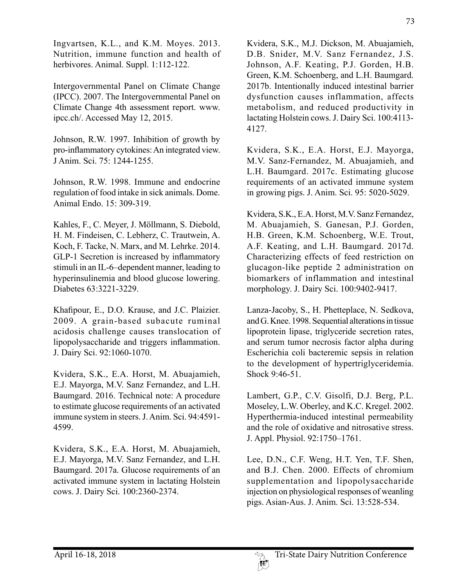Ingvartsen, K.L., and K.M. Moyes. 2013. Nutrition, immune function and health of herbivores. Animal. Suppl. 1:112-122.

Intergovernmental Panel on Climate Change (IPCC). 2007. The Intergovernmental Panel on Climate Change 4th assessment report. www. ipcc.ch/. Accessed May 12, 2015.

Johnson, R.W. 1997. Inhibition of growth by pro-inflammatory cytokines: An integrated view. J Anim. Sci. 75: 1244-1255.

Johnson, R.W. 1998. Immune and endocrine regulation of food intake in sick animals. Dome. Animal Endo. 15: 309-319.

Kahles, F., C. Meyer, J. Möllmann, S. Diebold, H. M. Findeisen, C. Lebherz, C. Trautwein, A. Koch, F. Tacke, N. Marx, and M. Lehrke. 2014. GLP-1 Secretion is increased by inflammatory stimuli in an IL-6–dependent manner, leading to hyperinsulinemia and blood glucose lowering. Diabetes 63:3221-3229.

Khafipour, E., D.O. Krause, and J.C. Plaizier. 2009. A grain-based subacute ruminal acidosis challenge causes translocation of lipopolysaccharide and triggers inflammation. J. Dairy Sci. 92:1060-1070.

Kvidera, S.K., E.A. Horst, M. Abuajamieh, E.J. Mayorga, M.V. Sanz Fernandez, and L.H. Baumgard. 2016. Technical note: A procedure to estimate glucose requirements of an activated immune system in steers. J. Anim. Sci. 94:4591- 4599.

Kvidera, S.K., E.A. Horst, M. Abuajamieh, E.J. Mayorga, M.V. Sanz Fernandez, and L.H. Baumgard. 2017a. Glucose requirements of an activated immune system in lactating Holstein cows. J. Dairy Sci. 100:2360-2374.

Kvidera, S.K., M.J. Dickson, M. Abuajamieh, D.B. Snider, M.V. Sanz Fernandez, J.S. Johnson, A.F. Keating, P.J. Gorden, H.B. Green, K.M. Schoenberg, and L.H. Baumgard. 2017b. Intentionally induced intestinal barrier

dysfunction causes inflammation, affects metabolism, and reduced productivity in lactating Holstein cows. J. Dairy Sci. 100:4113- 4127.

Kvidera, S.K., E.A. Horst, E.J. Mayorga, M.V. Sanz-Fernandez, M. Abuajamieh, and L.H. Baumgard. 2017c. Estimating glucose requirements of an activated immune system in growing pigs. J. Anim. Sci. 95: 5020-5029.

Kvidera, S.K., E.A. Horst, M.V. Sanz Fernandez, M. Abuajamieh, S. Ganesan, P.J. Gorden, H.B. Green, K.M. Schoenberg, W.E. Trout, A.F. Keating, and L.H. Baumgard. 2017d. Characterizing effects of feed restriction on glucagon-like peptide 2 administration on biomarkers of inflammation and intestinal morphology. J. Dairy Sci. 100:9402-9417.

Lanza-Jacoby, S., H. Phetteplace, N. Sedkova, and G. Knee. 1998. Sequential alterations in tissue lipoprotein lipase, triglyceride secretion rates, and serum tumor necrosis factor alpha during Escherichia coli bacteremic sepsis in relation to the development of hypertriglyceridemia. Shock 9:46-51.

Lambert, G.P., C.V. Gisolfi, D.J. Berg, P.L. Moseley, L.W. Oberley, and K.C. Kregel. 2002. Hyperthermia-induced intestinal permeability and the role of oxidative and nitrosative stress. J. Appl. Physiol. 92:1750–1761.

Lee, D.N., C.F. Weng, H.T. Yen, T.F. Shen, and B.J. Chen. 2000. Effects of chromium supplementation and lipopolysaccharide injection on physiological responses of weanling pigs. Asian-Aus. J. Anim. Sci. 13:528-534.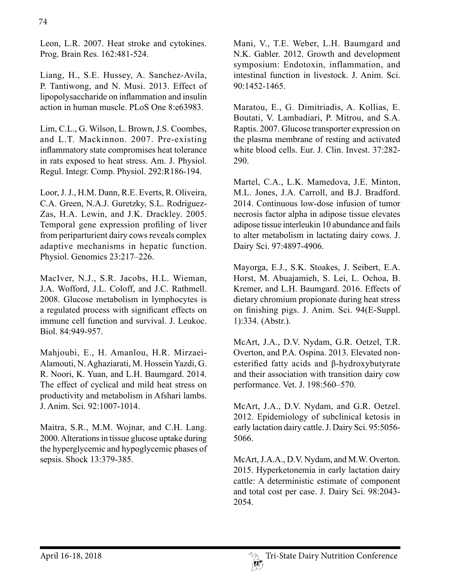Leon, L.R. 2007. Heat stroke and cytokines. Prog. Brain Res. 162:481-524.

Liang, H., S.E. Hussey, A. Sanchez-Avila, P. Tantiwong, and N. Musi. 2013. Effect of lipopolysaccharide on inflammation and insulin action in human muscle. PLoS One 8:e63983.

Lim, C.L., G. Wilson, L. Brown, J.S. Coombes, and L.T. Mackinnon. 2007. Pre-existing inflammatory state compromises heat tolerance in rats exposed to heat stress. Am. J. Physiol. Regul. Integr. Comp. Physiol. 292:R186-194.

Loor, J. J., H.M. Dann, R.E. Everts, R. Oliveira, C.A. Green, N.A.J. Guretzky, S.L. Rodriguez-Zas, H.A. Lewin, and J.K. Drackley. 2005. Temporal gene expression profiling of liver from periparturient dairy cows reveals complex adaptive mechanisms in hepatic function. Physiol. Genomics 23:217–226.

MacIver, N.J., S.R. Jacobs, H.L. Wieman, J.A. Wofford, J.L. Coloff, and J.C. Rathmell. 2008. Glucose metabolism in lymphocytes is a regulated process with significant effects on immune cell function and survival. J. Leukoc. Biol. 84:949-957.

Mahjoubi, E., H. Amanlou, H.R. Mirzaei-Alamouti, N. Aghaziarati, M. Hossein Yazdi, G. R. Noori, K. Yuan, and L.H. Baumgard. 2014. The effect of cyclical and mild heat stress on productivity and metabolism in Afshari lambs. J. Anim. Sci. 92:1007-1014.

Maitra, S.R., M.M. Wojnar, and C.H. Lang. 2000. Alterations in tissue glucose uptake during the hyperglycemic and hypoglycemic phases of sepsis. Shock 13:379-385.

Mani, V., T.E. Weber, L.H. Baumgard and N.K. Gabler. 2012. Growth and development symposium: Endotoxin, inflammation, and intestinal function in livestock. J. Anim. Sci. 90:1452-1465.

Maratou, E., G. Dimitriadis, A. Kollias, E. Boutati, V. Lambadiari, P. Mitrou, and S.A. Raptis. 2007. Glucose transporter expression on the plasma membrane of resting and activated white blood cells. Eur. J. Clin. Invest. 37:282- 290.

Martel, C.A., L.K. Mamedova, J.E. Minton, M.L. Jones, J.A. Carroll, and B.J. Bradford. 2014. Continuous low-dose infusion of tumor necrosis factor alpha in adipose tissue elevates adipose tissue interleukin 10 abundance and fails to alter metabolism in lactating dairy cows. J. Dairy Sci. 97:4897-4906.

Mayorga, E.J., S.K. Stoakes, J. Seibert, E.A. Horst, M. Abuajamieh, S. Lei, L. Ochoa, B. Kremer, and L.H. Baumgard. 2016. Effects of dietary chromium propionate during heat stress on finishing pigs. J. Anim. Sci. 94(E-Suppl. 1):334. (Abstr.).

McArt, J.A., D.V. Nydam, G.R. Oetzel, T.R. Overton, and P.A. Ospina. 2013. Elevated nonesterified fatty acids and β-hydroxybutyrate and their association with transition dairy cow performance. Vet. J. 198:560–570.

McArt, J.A., D.V. Nydam, and G.R. Oetzel. 2012. Epidemiology of subclinical ketosis in early lactation dairy cattle. J. Dairy Sci. 95:5056- 5066.

McArt, J.A.A., D.V. Nydam, and M.W. Overton. 2015. Hyperketonemia in early lactation dairy cattle: A deterministic estimate of component and total cost per case. J. Dairy Sci. 98:2043- 2054.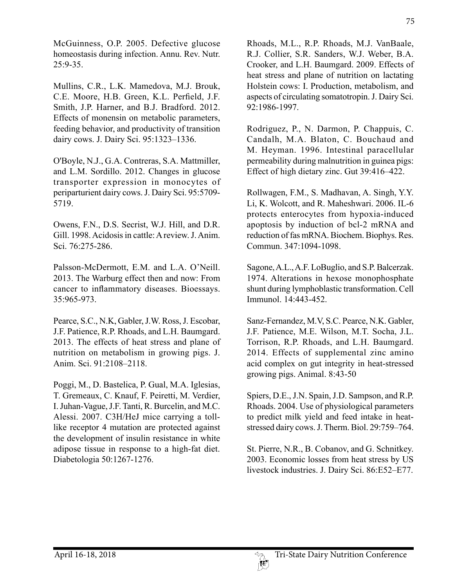McGuinness, O.P. 2005. Defective glucose homeostasis during infection. Annu. Rev. Nutr. 25:9-35.

Mullins, C.R., L.K. Mamedova, M.J. Brouk, C.E. Moore, H.B. Green, K.L. Perfield, J.F. Smith, J.P. Harner, and B.J. Bradford. 2012. Effects of monensin on metabolic parameters, feeding behavior, and productivity of transition dairy cows. J. Dairy Sci. 95:1323–1336.

O'Boyle, N.J., G.A. Contreras, S.A. Mattmiller, and L.M. Sordillo. 2012. Changes in glucose transporter expression in monocytes of periparturient dairy cows. J. Dairy Sci. 95:5709- 5719.

Owens, F.N., D.S. Secrist, W.J. Hill, and D.R. Gill. 1998. Acidosis in cattle: A review. J. Anim. Sci. 76:275-286.

Palsson-McDermott, E.M. and L.A. O'Neill. 2013. The Warburg effect then and now: From cancer to inflammatory diseases. Bioessays. 35:965-973.

Pearce, S.C., N.K, Gabler, J.W. Ross, J. Escobar, J.F. Patience, R.P. Rhoads, and L.H. Baumgard. 2013. The effects of heat stress and plane of nutrition on metabolism in growing pigs. J. Anim. Sci. 91:2108–2118.

Poggi, M., D. Bastelica, P. Gual, M.A. Iglesias, T. Gremeaux, C. Knauf, F. Peiretti, M. Verdier, I. Juhan-Vague, J.F. Tanti, R. Burcelin, and M.C. Alessi. 2007. C3H/HeJ mice carrying a tolllike receptor 4 mutation are protected against the development of insulin resistance in white adipose tissue in response to a high-fat diet. Diabetologia 50:1267-1276.

Rhoads, M.L., R.P. Rhoads, M.J. VanBaale, R.J. Collier, S.R. Sanders, W.J. Weber, B.A. Crooker, and L.H. Baumgard. 2009. Effects of heat stress and plane of nutrition on lactating Holstein cows: I. Production, metabolism, and aspects of circulating somatotropin. J. Dairy Sci. 92:1986-1997.

Rodriguez, P., N. Darmon, P. Chappuis, C. Candalh, M.A. Blaton, C. Bouchaud and M. Heyman. 1996. Intestinal paracellular permeability during malnutrition in guinea pigs: Effect of high dietary zinc. Gut 39:416–422.

Rollwagen, F.M., S. Madhavan, A. Singh, Y.Y. Li, K. Wolcott, and R. Maheshwari. 2006. IL-6 protects enterocytes from hypoxia-induced apoptosis by induction of bcl-2 mRNA and reduction of fas mRNA. Biochem. Biophys. Res. Commun. 347:1094-1098.

Sagone, A.L., A.F. LoBuglio, and S.P. Balcerzak. 1974. Alterations in hexose monophosphate shunt during lymphoblastic transformation. Cell Immunol. 14:443-452.

Sanz-Fernandez, M.V, S.C. Pearce, N.K. Gabler, J.F. Patience, M.E. Wilson, M.T. Socha, J.L. Torrison, R.P. Rhoads, and L.H. Baumgard. 2014. Effects of supplemental zinc amino acid complex on gut integrity in heat-stressed growing pigs. Animal. 8:43-50

Spiers, D.E., J.N. Spain, J.D. Sampson, and R.P. Rhoads. 2004. Use of physiological parameters to predict milk yield and feed intake in heatstressed dairy cows. J. Therm. Biol. 29:759–764.

St. Pierre, N.R., B. Cobanov, and G. Schnitkey. 2003. Economic losses from heat stress by US livestock industries. J. Dairy Sci. 86:E52–E77.

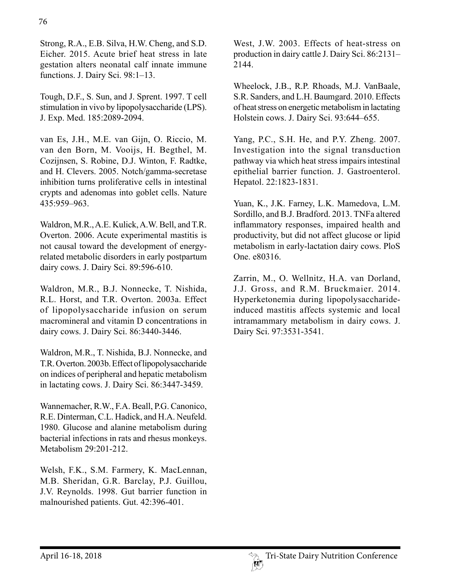Strong, R.A., E.B. Silva, H.W. Cheng, and S.D. Eicher. 2015. Acute brief heat stress in late gestation alters neonatal calf innate immune functions. J. Dairy Sci. 98:1–13.

Tough, D.F., S. Sun, and J. Sprent. 1997. T cell stimulation in vivo by lipopolysaccharide (LPS). J. Exp. Med. 185:2089-2094.

van Es, J.H., M.E. van Gijn, O. Riccio, M. van den Born, M. Vooijs, H. Begthel, M. Cozijnsen, S. Robine, D.J. Winton, F. Radtke, and H. Clevers. 2005. Notch/gamma-secretase inhibition turns proliferative cells in intestinal crypts and adenomas into goblet cells. Nature 435:959–963.

Waldron, M.R., A.E. Kulick, A.W. Bell, and T.R. Overton. 2006. Acute experimental mastitis is not causal toward the development of energyrelated metabolic disorders in early postpartum dairy cows. J. Dairy Sci. 89:596-610.

Waldron, M.R., B.J. Nonnecke, T. Nishida, R.L. Horst, and T.R. Overton. 2003a. Effect of lipopolysaccharide infusion on serum macromineral and vitamin D concentrations in dairy cows. J. Dairy Sci. 86:3440-3446.

Waldron, M.R., T. Nishida, B.J. Nonnecke, and T.R. Overton. 2003b. Effect of lipopolysaccharide on indices of peripheral and hepatic metabolism in lactating cows. J. Dairy Sci. 86:3447-3459.

Wannemacher, R.W., F.A. Beall, P.G. Canonico, R.E. Dinterman, C.L. Hadick, and H.A. Neufeld. 1980. Glucose and alanine metabolism during bacterial infections in rats and rhesus monkeys. Metabolism 29:201-212.

Welsh, F.K., S.M. Farmery, K. MacLennan, M.B. Sheridan, G.R. Barclay, P.J. Guillou, J.V. Reynolds. 1998. Gut barrier function in malnourished patients. Gut. 42:396-401.

West, J.W. 2003. Effects of heat-stress on production in dairy cattle J. Dairy Sci. 86:2131– 2144.

Wheelock, J.B., R.P. Rhoads, M.J. VanBaale, S.R. Sanders, and L.H. Baumgard. 2010. Effects of heat stress on energetic metabolism in lactating Holstein cows. J. Dairy Sci. 93:644–655.

Yang, P.C., S.H. He, and P.Y. Zheng. 2007. Investigation into the signal transduction pathway via which heat stress impairs intestinal epithelial barrier function. J. Gastroenterol. Hepatol. 22:1823-1831.

Yuan, K., J.K. Farney, L.K. Mamedova, L.M. Sordillo, and B.J. Bradford. 2013. TNFa altered inflammatory responses, impaired health and productivity, but did not affect glucose or lipid metabolism in early-lactation dairy cows. PloS One. e80316.

Zarrin, M., O. Wellnitz, H.A. van Dorland, J.J. Gross, and R.M. Bruckmaier. 2014. Hyperketonemia during lipopolysaccharideinduced mastitis affects systemic and local intramammary metabolism in dairy cows. J. Dairy Sci. 97:3531-3541.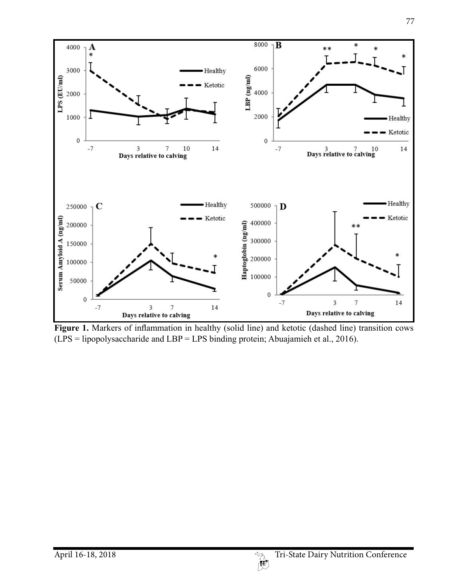

**Figure 1.** Markers of inflammation in healthy (solid line) and ketotic (dashed line) transition cows (LPS = lipopolysaccharide and LBP = LPS binding protein; Abuajamieh et al., 2016).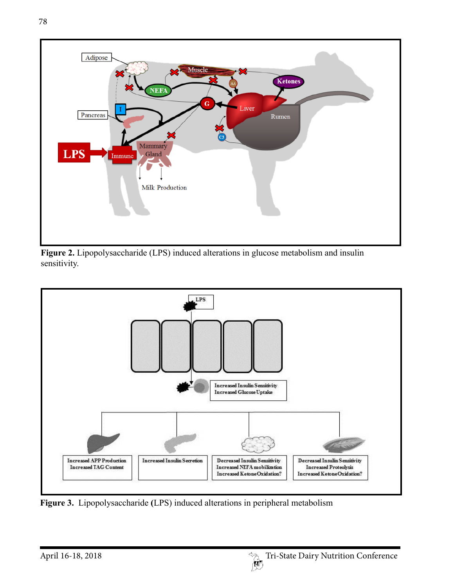





**Figure 3.** Lipopolysaccharide **(**LPS) induced alterations in peripheral metabolism